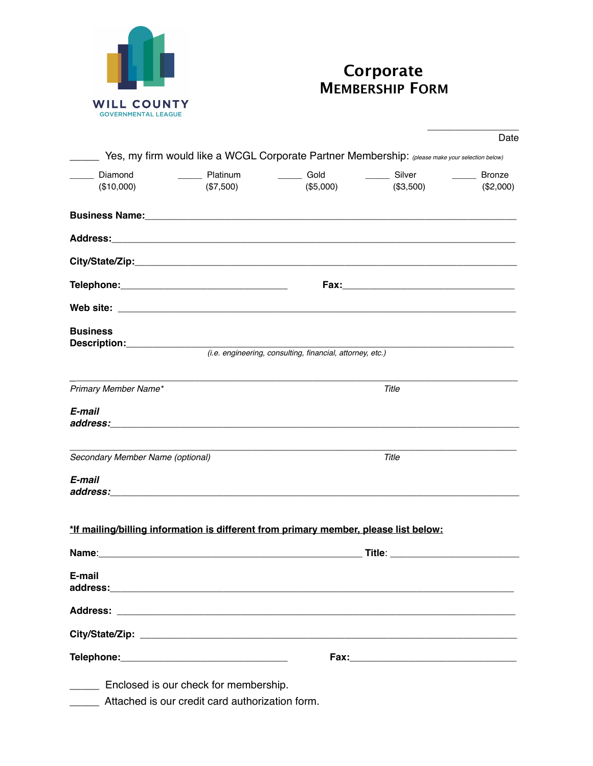

## **Corporate MEMBERSHIP FORM**

|                                                                                                 |                                                 |                                                           |           | Date      |  |
|-------------------------------------------------------------------------------------------------|-------------------------------------------------|-----------------------------------------------------------|-----------|-----------|--|
| Yes, my firm would like a WCGL Corporate Partner Membership: (please make your selection below) |                                                 |                                                           |           |           |  |
| ____ Diamond                                                                                    | _______ Platinum                                | _______ Gold __________ Silver                            |           | Bronze    |  |
| (\$10,000)                                                                                      | (\$7,500)                                       | (\$5,000)                                                 | (\$3,500) | (\$2,000) |  |
|                                                                                                 |                                                 |                                                           |           |           |  |
|                                                                                                 |                                                 |                                                           |           |           |  |
|                                                                                                 |                                                 |                                                           |           |           |  |
|                                                                                                 |                                                 |                                                           |           |           |  |
|                                                                                                 |                                                 |                                                           |           |           |  |
| <b>Business</b>                                                                                 |                                                 |                                                           |           |           |  |
|                                                                                                 |                                                 | (i.e. engineering, consulting, financial, attorney, etc.) |           |           |  |
| Primary Member Name*                                                                            |                                                 |                                                           | Title     |           |  |
| E-mail                                                                                          |                                                 |                                                           |           |           |  |
|                                                                                                 |                                                 |                                                           |           |           |  |
| Secondary Member Name (optional)                                                                |                                                 |                                                           | Title     |           |  |
| E-mail                                                                                          |                                                 |                                                           |           |           |  |
|                                                                                                 |                                                 |                                                           |           |           |  |
| *If mailing/billing information is different from primary member, please list below:            |                                                 |                                                           |           |           |  |
| Name:                                                                                           |                                                 |                                                           | Title:    |           |  |
| E-mail                                                                                          |                                                 |                                                           |           |           |  |
|                                                                                                 |                                                 |                                                           |           |           |  |
|                                                                                                 |                                                 |                                                           |           |           |  |
|                                                                                                 |                                                 |                                                           |           |           |  |
|                                                                                                 | Enclosed is our check for membership.           |                                                           |           |           |  |
|                                                                                                 | Attached is our credit card authorization form. |                                                           |           |           |  |